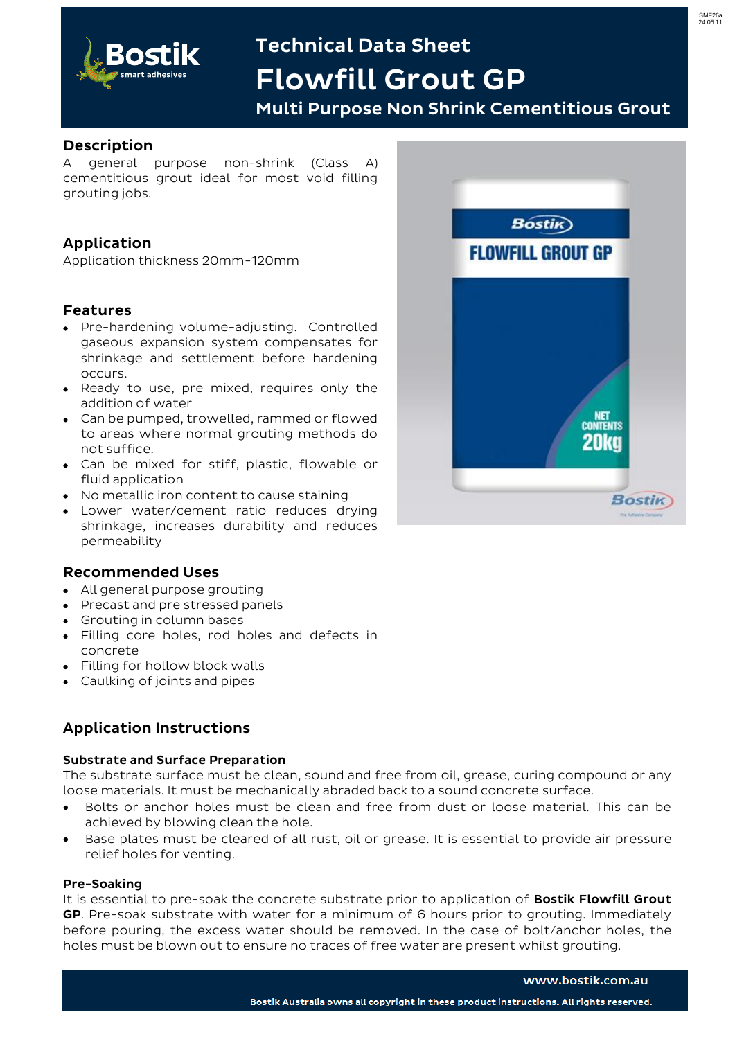

# **Technical Data Sheet Flowfill Grout GP**

**Multi Purpose Non Shrink Cementitious Grout**

# **Description**

A general purpose non-shrink (Class A) cementitious grout ideal for most void filling grouting jobs.

# **Application**

Application thickness 20mm-120mm

## **Features**

- Pre-hardening volume-adjusting. Controlled gaseous expansion system compensates for shrinkage and settlement before hardening occurs.
- Ready to use, pre mixed, requires only the addition of water
- Can be pumped, trowelled, rammed or flowed to areas where normal grouting methods do not suffice.
- Can be mixed for stiff, plastic, flowable or fluid application
- No metallic iron content to cause staining
- Lower water/cement ratio reduces drying shrinkage, increases durability and reduces permeability

# **Recommended Uses**

- All general purpose grouting
- Precast and pre stressed panels
- Grouting in column bases
- Filling core holes, rod holes and defects in concrete
- Filling for hollow block walls
- Caulking of joints and pipes

# **Application Instructions**

#### **Substrate and Surface Preparation**

The substrate surface must be clean, sound and free from oil, grease, curing compound or any loose materials. It must be mechanically abraded back to a sound concrete surface.

- Bolts or anchor holes must be clean and free from dust or loose material. This can be achieved by blowing clean the hole.
- Base plates must be cleared of all rust, oil or grease. It is essential to provide air pressure relief holes for venting.

#### **Pre-Soaking**

It is essential to pre-soak the concrete substrate prior to application of **Bostik Flowfill Grout GP**. Pre-soak substrate with water for a minimum of 6 hours prior to grouting. Immediately before pouring, the excess water should be removed. In the case of bolt/anchor holes, the holes must be blown out to ensure no traces of free water are present whilst grouting.



#### www.bostik.com.au

SMF26a 24.05.11

Bostik Australia owns all copyright in these product instructions. All rights reserved.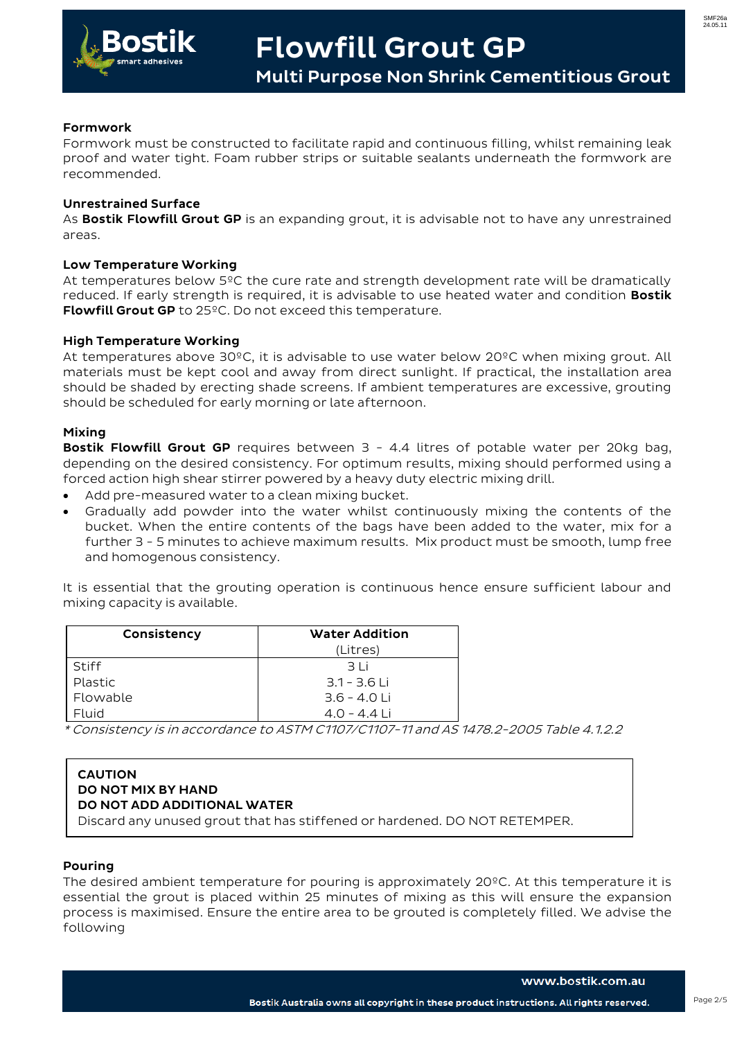

**Multi Purpose Non Shrink Cementitious Grout**

### **Formwork**

Formwork must be constructed to facilitate rapid and continuous filling, whilst remaining leak proof and water tight. Foam rubber strips or suitable sealants underneath the formwork are recommended.

### **Unrestrained Surface**

As **Bostik Flowfill Grout GP** is an expanding grout, it is advisable not to have any unrestrained areas.

#### **Low Temperature Working**

At temperatures below 5ºC the cure rate and strength development rate will be dramatically reduced. If early strength is required, it is advisable to use heated water and condition **Bostik Flowfill Grout GP** to 25ºC. Do not exceed this temperature.

### **High Temperature Working**

At temperatures above 30ºC, it is advisable to use water below 20ºC when mixing grout. All materials must be kept cool and away from direct sunlight. If practical, the installation area should be shaded by erecting shade screens. If ambient temperatures are excessive, grouting should be scheduled for early morning or late afternoon.

### **Mixing**

**Bostik Flowfill Grout GP** requires between 3 - 4.4 litres of potable water per 20kg bag, depending on the desired consistency. For optimum results, mixing should performed using a forced action high shear stirrer powered by a heavy duty electric mixing drill.

- Add pre-measured water to a clean mixing bucket.
- Gradually add powder into the water whilst continuously mixing the contents of the bucket. When the entire contents of the bags have been added to the water, mix for a further 3 - 5 minutes to achieve maximum results. Mix product must be smooth, lump free and homogenous consistency.

It is essential that the grouting operation is continuous hence ensure sufficient labour and mixing capacity is available.

| Consistency | <b>Water Addition</b> |  |
|-------------|-----------------------|--|
|             | (Litres)              |  |
| Stiff       | 31i                   |  |
| Plastic     | $3.1 - 3.6$ Li        |  |
| Flowable    | $3.6 - 4.0$ Li        |  |
| Fluid       | $4.0 - 4.4$ Li        |  |

\* Consistency is in accordance to ASTM C1107/C1107-11 and AS 1478.2-2005 Table 4.1.2.2

### **CAUTION DO NOT MIX BY HAND DO NOT ADD ADDITIONAL WATER**

Discard any unused grout that has stiffened or hardened. DO NOT RETEMPER.

## **Pouring**

The desired ambient temperature for pouring is approximately 20°C. At this temperature it is essential the grout is placed within 25 minutes of mixing as this will ensure the expansion process is maximised. Ensure the entire area to be grouted is completely filled. We advise the following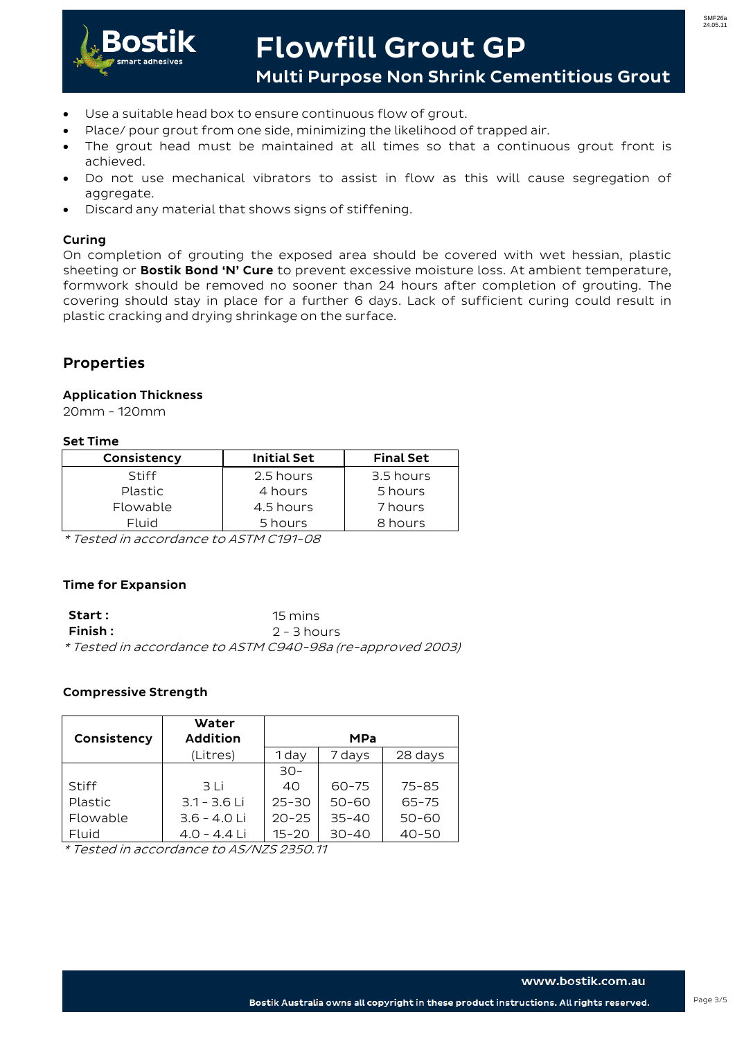

# **Flowfill Grout GP**

**Multi Purpose Non Shrink Cementitious Grout**

- Use a suitable head box to ensure continuous flow of grout.
- Place/ pour grout from one side, minimizing the likelihood of trapped air.
- The grout head must be maintained at all times so that a continuous grout front is achieved.
- Do not use mechanical vibrators to assist in flow as this will cause segregation of aggregate.
- Discard any material that shows signs of stiffening.

#### **Curing**

On completion of grouting the exposed area should be covered with wet hessian, plastic sheeting or **Bostik Bond 'N' Cure** to prevent excessive moisture loss. At ambient temperature, formwork should be removed no sooner than 24 hours after completion of grouting. The covering should stay in place for a further 6 days. Lack of sufficient curing could result in plastic cracking and drying shrinkage on the surface.

# **Properties**

### **Application Thickness**

20mm - 120mm

#### **Set Time**

| Consistency    | <b>Initial Set</b> | <b>Final Set</b> |
|----------------|--------------------|------------------|
| Stiff          | 2.5 hours          | 3.5 hours        |
| <b>Plastic</b> | 4 hours            | 5 hours          |
| Flowable       | 4.5 hours          | 7 hours          |
| Fluid          | 5 hours            | 8 hours          |

\* Tested in accordance to ASTM C191-08

#### **Time for Expansion**

| <b>Start:</b> | 15 mins                                                    |
|---------------|------------------------------------------------------------|
| Finish :      | 2 - 3 hours                                                |
|               | * Tested in accordance to ASTM C940-98a (re-approved 2003) |

#### **Compressive Strength**

| Consistency | Water<br><b>Addition</b> | <b>MPa</b> |           |           |
|-------------|--------------------------|------------|-----------|-----------|
|             | (Litres)                 | 1 day      | 7 days    | 28 days   |
|             |                          | $30-$      |           |           |
| Stiff       | 3 Li                     | 40         | $60 - 75$ | $75 - 85$ |
| Plastic     | $3.1 - 3.6$ Li           | $25 - 30$  | $50 - 60$ | $65 - 75$ |
| Flowable    | $3.6 - 4.0$ Li           | $20 - 25$  | $35 - 40$ | $50 - 60$ |
| Fluid       | $4.0 - 4.4$ Li           | $15 - 20$  | $30 - 40$ | $40 - 50$ |

\* Tested in accordance to AS/NZS 2350.11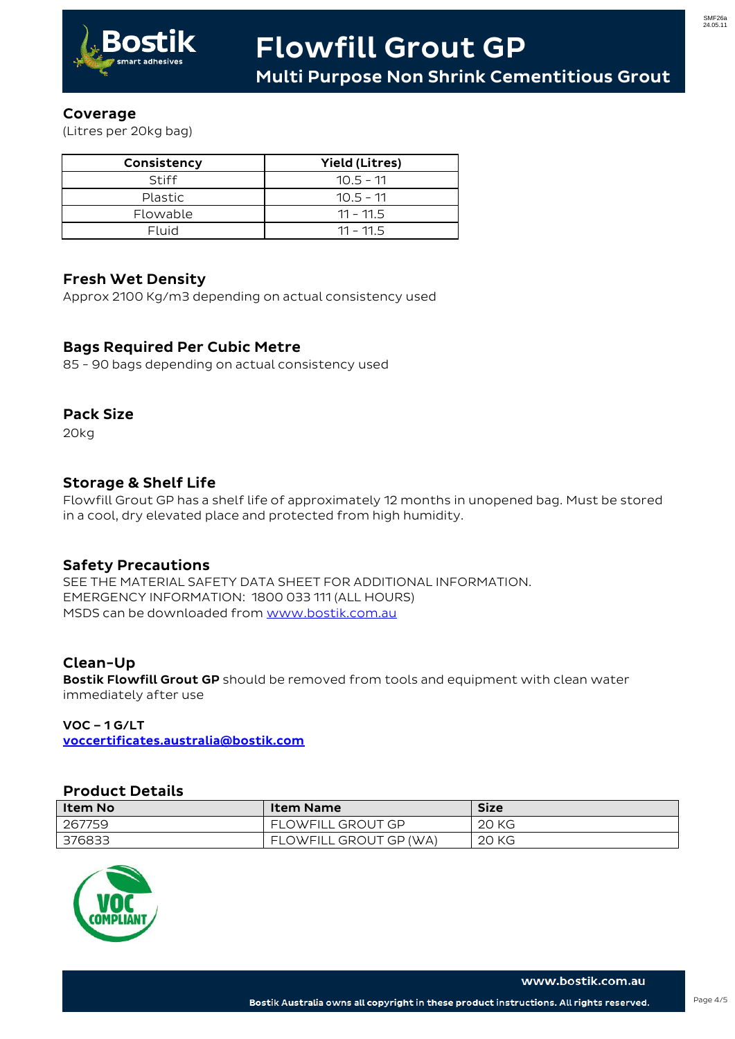

## **Coverage**

(Litres per 20kg bag)

| Consistency    | <b>Yield (Litres)</b> |
|----------------|-----------------------|
| Stiff          | $10.5 - 11$           |
| <b>Plastic</b> | $10.5 - 11$           |
| Flowable       | $11 - 11.5$           |
| Fluid          | $11 - 11.5$           |

# **Fresh Wet Density**

Approx 2100 Kg/m3 depending on actual consistency used

# **Bags Required Per Cubic Metre**

85 - 90 bags depending on actual consistency used

# **Pack Size**

20kg

# **Storage & Shelf Life**

Flowfill Grout GP has a shelf life of approximately 12 months in unopened bag. Must be stored in a cool, dry elevated place and protected from high humidity.

# **Safety Precautions**

SEE THE MATERIAL SAFETY DATA SHEET FOR ADDITIONAL INFORMATION. EMERGENCY INFORMATION: 1800 033 111 (ALL HOURS) MSDS can be downloaded from [www.bostik.com.au](http://www.bostik.com.au/)

# **Clean-Up**

**Bostik Flowfill Grout GP** should be removed from tools and equipment with clean water immediately after use

## **VOC – 1 G/LT**

**voccertificates.australia@bostik.com**

## **Product Details**

| Item No | <b>Item Name</b>         | <b>Size</b> |
|---------|--------------------------|-------------|
| 267759  | <b>FLOWFILL GROUT GP</b> | 20 KG       |
| 376833  | FLOWFILL GROUT GP (WA)   | 20 KG       |



www.bostik.com.au